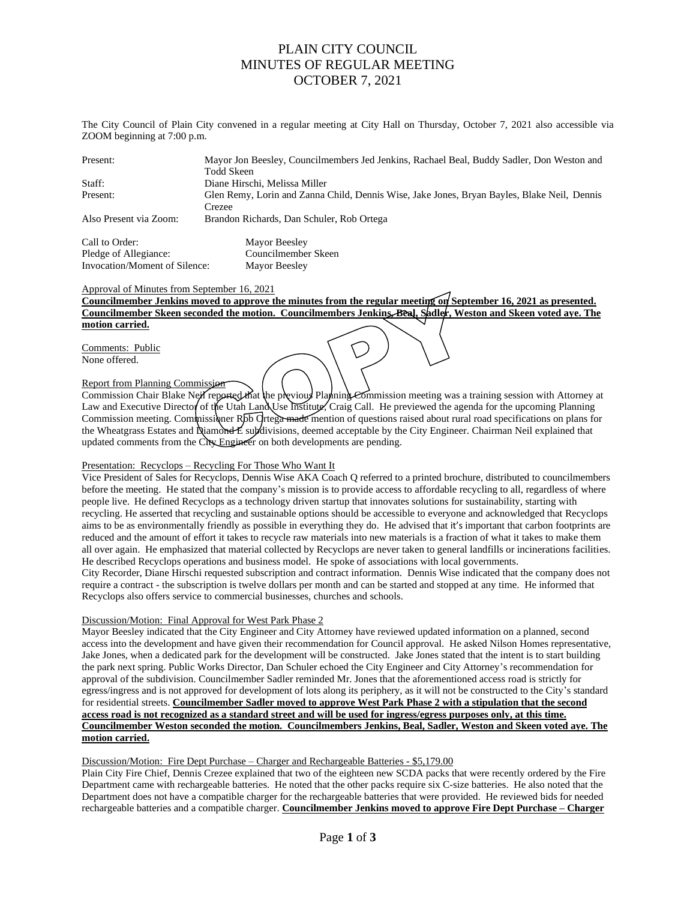# PLAIN CITY COUNCIL MINUTES OF REGULAR MEETING OCTOBER 7, 2021

The City Council of Plain City convened in a regular meeting at City Hall on Thursday, October 7, 2021 also accessible via ZOOM beginning at 7:00 p.m.

| Present:               | Mayor Jon Beesley, Councilmembers Jed Jenkins, Rachael Beal, Buddy Sadler, Don Weston and   |
|------------------------|---------------------------------------------------------------------------------------------|
|                        | Todd Skeen                                                                                  |
| Staff:                 | Diane Hirschi, Melissa Miller                                                               |
| Present:               | Glen Remy, Lorin and Zanna Child, Dennis Wise, Jake Jones, Bryan Bayles, Blake Neil, Dennis |
|                        | Crezee                                                                                      |
| Also Present via Zoom: | Brandon Richards, Dan Schuler, Rob Ortega                                                   |
|                        |                                                                                             |

Call to Order: Mayor Beesley Pledge of Allegiance: Councilmember Skeen Invocation/Moment of Silence: Mayor Beesley

### Approval of Minutes from September 16, 2021

**Councilmember Jenkins moved to approve the minutes from the regular meeting on September 16, 2021 as presented. Councilmember Skeen seconded the motion. Councilmembers Jenkins, Beal, Sadler, Weston and Skeen voted aye. The motion carried.**

Comments: Public None offered.

### Report from Planning Commission

Commission Chair Blake Neil reported that the previous Planning Commission meeting was a training session with Attorney at Law and Executive Director of the Utah Land Use Institute, Craig Call. He previewed the agenda for the upcoming Planning Commission meeting. Commissioner Rbb Ortega made mention of questions raised about rural road specifications on plans for the Wheatgrass Estates and Diamond E subdivisions, deemed acceptable by the City Engineer. Chairman Neil explained that updated comments from the City Engineer on both developments are pending.

### Presentation: Recyclops – Recycling For Those Who Want It

Vice President of Sales for Recyclops, Dennis Wise AKA Coach Q referred to a printed brochure, distributed to councilmembers before the meeting. He stated that the company's mission is to provide access to affordable recycling to all, regardless of where people live. He defined Recyclops as a technology driven startup that innovates solutions for sustainability, starting with recycling. He asserted that recycling and sustainable options should be accessible to everyone and acknowledged that Recyclops aims to be as environmentally friendly as possible in everything they do. He advised that it's important that carbon footprints are reduced and the amount of effort it takes to recycle raw materials into new materials is a fraction of what it takes to make them all over again. He emphasized that material collected by Recyclops are never taken to general landfills or incinerations facilities. He described Recyclops operations and business model. He spoke of associations with local governments. City Recorder, Diane Hirschi requested subscription and contract information. Dennis Wise indicated that the company does not require a contract - the subscription is twelve dollars per month and can be started and stopped at any time. He informed that

## Discussion/Motion: Final Approval for West Park Phase 2

Recyclops also offers service to commercial businesses, churches and schools.

Mayor Beesley indicated that the City Engineer and City Attorney have reviewed updated information on a planned, second access into the development and have given their recommendation for Council approval. He asked Nilson Homes representative, Jake Jones, when a dedicated park for the development will be constructed. Jake Jones stated that the intent is to start building the park next spring. Public Works Director, Dan Schuler echoed the City Engineer and City Attorney's recommendation for approval of the subdivision. Councilmember Sadler reminded Mr. Jones that the aforementioned access road is strictly for egress/ingress and is not approved for development of lots along its periphery, as it will not be constructed to the City's standard for residential streets. **Councilmember Sadler moved to approve West Park Phase 2 with a stipulation that the second access road is not recognized as a standard street and will be used for ingress/egress purposes only, at this time. Councilmember Weston seconded the motion. Councilmembers Jenkins, Beal, Sadler, Weston and Skeen voted aye. The motion carried.**

### Discussion/Motion: Fire Dept Purchase – Charger and Rechargeable Batteries - \$5,179.00

Plain City Fire Chief, Dennis Crezee explained that two of the eighteen new SCDA packs that were recently ordered by the Fire Department came with rechargeable batteries. He noted that the other packs require six C-size batteries. He also noted that the Department does not have a compatible charger for the rechargeable batteries that were provided. He reviewed bids for needed rechargeable batteries and a compatible charger. **Councilmember Jenkins moved to approve Fire Dept Purchase – Charger**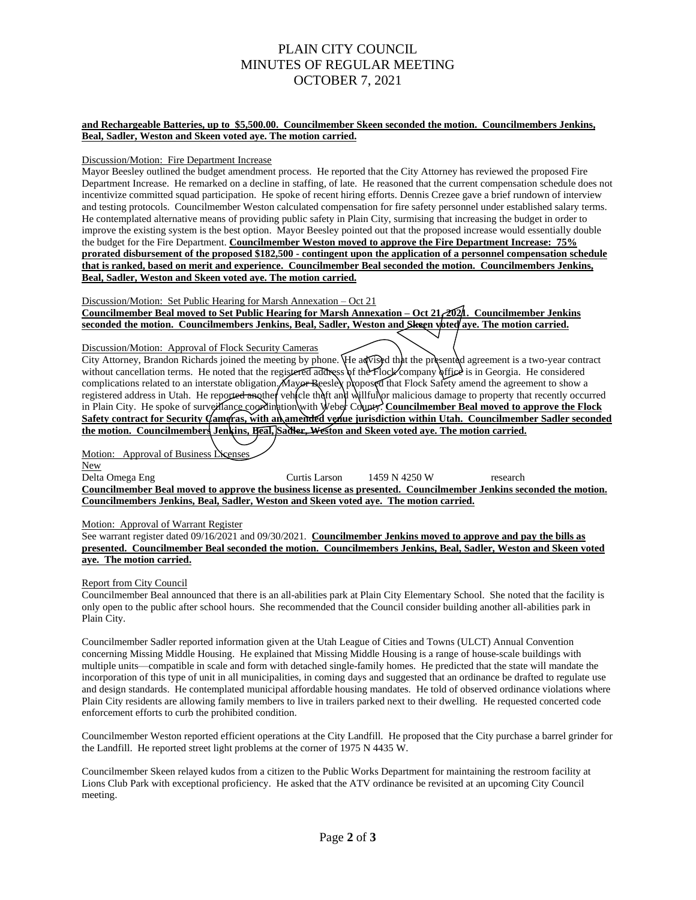# PLAIN CITY COUNCIL MINUTES OF REGULAR MEETING OCTOBER 7, 2021

#### **and Rechargeable Batteries, up to \$5,500.00. Councilmember Skeen seconded the motion. Councilmembers Jenkins, Beal, Sadler, Weston and Skeen voted aye. The motion carried.**

#### Discussion/Motion: Fire Department Increase

Mayor Beesley outlined the budget amendment process. He reported that the City Attorney has reviewed the proposed Fire Department Increase. He remarked on a decline in staffing, of late. He reasoned that the current compensation schedule does not incentivize committed squad participation. He spoke of recent hiring efforts. Dennis Crezee gave a brief rundown of interview and testing protocols. Councilmember Weston calculated compensation for fire safety personnel under established salary terms. He contemplated alternative means of providing public safety in Plain City, surmising that increasing the budget in order to improve the existing system is the best option. Mayor Beesley pointed out that the proposed increase would essentially double the budget for the Fire Department. **Councilmember Weston moved to approve the Fire Department Increase: 75% prorated disbursement of the proposed \$182,500 - contingent upon the application of a personnel compensation schedule that is ranked, based on merit and experience. Councilmember Beal seconded the motion. Councilmembers Jenkins, Beal, Sadler, Weston and Skeen voted aye. The motion carried.**

Discussion/Motion: Set Public Hearing for Marsh Annexation – Oct 21 **Councilmember Beal moved to Set Public Hearing for Marsh Annexation – Oct 21, 2021. Councilmember Jenkins seconded the motion. Councilmembers Jenkins, Beal, Sadler, Weston and Skeen voted aye. The motion carried.**

#### Discussion/Motion: Approval of Flock Security Cameras

City Attorney, Brandon Richards joined the meeting by phone. He advised that the presented agreement is a two-year contract without cancellation terms. He noted that the registered address of the Flock company office is in Georgia. He considered complications related to an interstate obligation. Mayor Beesley proposed that Flock Safety amend the agreement to show a registered address in Utah. He reporte<del>d an</del>other vehicle theft and willful or malicious damage to property that recently occurred in Plain City. He spoke of surveillance coordination with Weber County. **Councilmember Beal moved to approve the Flock Safety contract for Security Cameras, with an amended venue jurisdiction within Utah. Councilmember Sadler seconded the motion. Councilmembers Jenkins, Beal, Sadler, Weston and Skeen voted aye. The motion carried.**

Motion: Approval of Business Licenses

New Delta Omega Eng Curtis Larson 1459 N 4250 W research **Councilmember Beal moved to approve the business license as presented. Councilmember Jenkins seconded the motion. Councilmembers Jenkins, Beal, Sadler, Weston and Skeen voted aye. The motion carried.**

### Motion: Approval of Warrant Register

See warrant register dated 09/16/2021 and 09/30/2021. **Councilmember Jenkins moved to approve and pay the bills as presented. Councilmember Beal seconded the motion. Councilmembers Jenkins, Beal, Sadler, Weston and Skeen voted aye. The motion carried.**

### Report from City Council

Councilmember Beal announced that there is an all-abilities park at Plain City Elementary School. She noted that the facility is only open to the public after school hours. She recommended that the Council consider building another all-abilities park in Plain City.

Councilmember Sadler reported information given at the Utah League of Cities and Towns (ULCT) Annual Convention concerning Missing Middle Housing. He explained that Missing Middle Housing is a range of house-scale buildings with multiple units—compatible in scale and form with detached single-family homes. He predicted that the state will mandate the incorporation of this type of unit in all municipalities, in coming days and suggested that an ordinance be drafted to regulate use and design standards. He contemplated municipal affordable housing mandates. He told of observed ordinance violations where Plain City residents are allowing family members to live in trailers parked next to their dwelling. He requested concerted code enforcement efforts to curb the prohibited condition.

Councilmember Weston reported efficient operations at the City Landfill. He proposed that the City purchase a barrel grinder for the Landfill. He reported street light problems at the corner of 1975 N 4435 W.

Councilmember Skeen relayed kudos from a citizen to the Public Works Department for maintaining the restroom facility at Lions Club Park with exceptional proficiency. He asked that the ATV ordinance be revisited at an upcoming City Council meeting.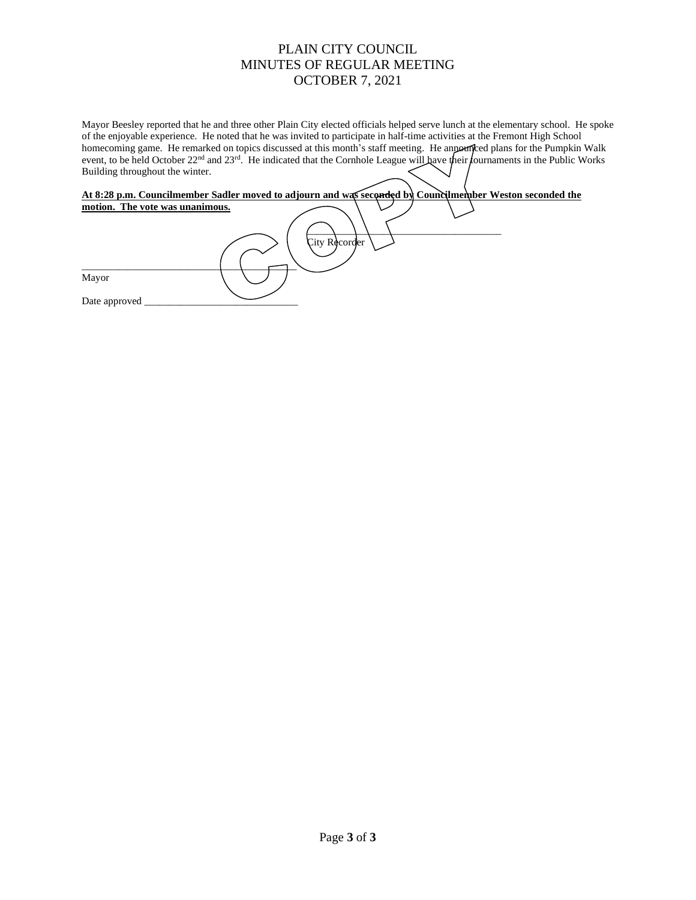# PLAIN CITY COUNCIL MINUTES OF REGULAR MEETING OCTOBER 7, 2021

Mayor Beesley reported that he and three other Plain City elected officials helped serve lunch at the elementary school. He spoke of the enjoyable experience. He noted that he was invited to participate in half-time activities at the Fremont High School homecoming game. He remarked on topics discussed at this month's staff meeting. He announced plans for the Pumpkin Walk event, to be held October 22<sup>nd</sup> and 23<sup>rd</sup>. He indicated that the Cornhole League will have their fournaments in the Public Works Building throughout the winter.

| At 8:28 p.m. Councilmember Sadler moved to adjourn and was seconded by Councilmember Weston seconded the |               |  |
|----------------------------------------------------------------------------------------------------------|---------------|--|
| motion. The vote was unanimous.                                                                          |               |  |
|                                                                                                          |               |  |
|                                                                                                          | City Recorder |  |
| Mayor                                                                                                    |               |  |
| Date approved                                                                                            |               |  |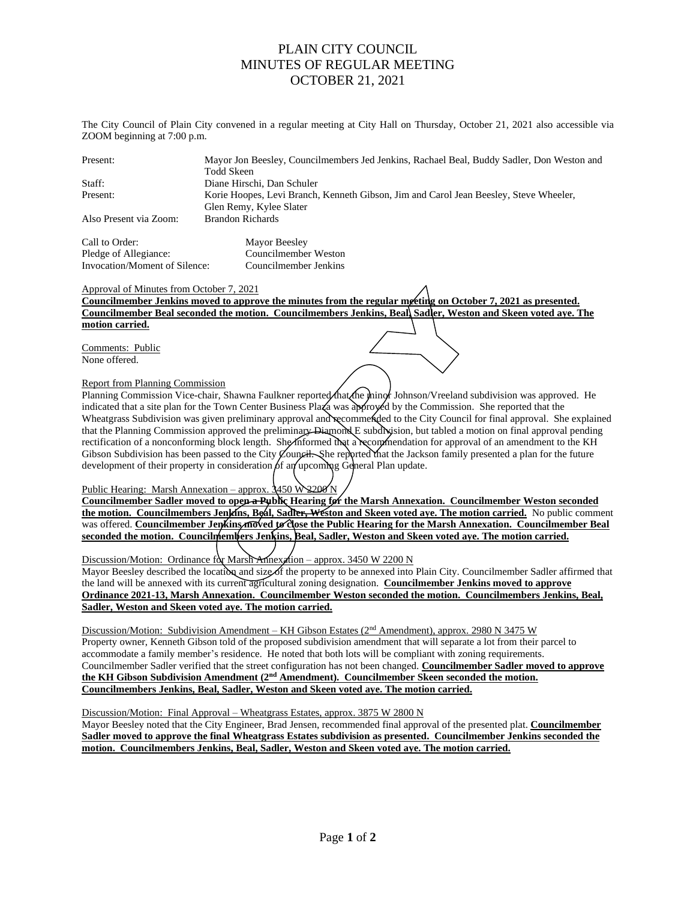# PLAIN CITY COUNCIL MINUTES OF REGULAR MEETING OCTOBER 21, 2021

The City Council of Plain City convened in a regular meeting at City Hall on Thursday, October 21, 2021 also accessible via ZOOM beginning at 7:00 p.m.

| Present:               | Mayor Jon Beesley, Councilmembers Jed Jenkins, Rachael Beal, Buddy Sadler, Don Weston and |
|------------------------|-------------------------------------------------------------------------------------------|
|                        | Todd Skeen                                                                                |
| Staff:                 | Diane Hirschi, Dan Schuler                                                                |
| Present:               | Korie Hoopes, Levi Branch, Kenneth Gibson, Jim and Carol Jean Beesley, Steve Wheeler,     |
|                        | Glen Remy, Kylee Slater                                                                   |
| Also Present via Zoom: | Brandon Richards                                                                          |
|                        |                                                                                           |

Call to Order: Mayor Beesley Pledge of Allegiance: Councilmember Weston Invocation/Moment of Silence: Councilmember Jenkins

## Approval of Minutes from October 7, 2021

**Councilmember Jenkins moved to approve the minutes from the regular meeting on October 7, 2021 as presented. Councilmember Beal seconded the motion. Councilmembers Jenkins, Beal, Sadler, Weston and Skeen voted aye. The motion carried.**

Comments: Public None offered.

## Report from Planning Commission

Planning Commission Vice-chair, Shawna Faulkner reported that the minor Johnson/Vreeland subdivision was approved. He indicated that a site plan for the Town Center Business Plaza was approved by the Commission. She reported that the Wheatgrass Subdivision was given preliminary approval and recommended to the City Council for final approval. She explained that the Planning Commission approved the preliminary Diamond E subdivision, but tabled a motion on final approval pending rectification of a nonconforming block length. She informed that a recommendation for approval of an amendment to the KH Gibson Subdivision has been passed to the City  $\emptyset$ ouncil. She reported that the Jackson family presented a plan for the future development of their property in consideration  $\beta$ f an upcoming General Plan update.

## Public Hearing: Marsh Annexation – approx.  $3450 W 2200 N$

**Councilmember** Sadler moved to open a Public Hearing for the Marsh Annexation. Councilmember Weston seconded **the motion. Councilmembers Jenkins, Beal, Sadler, Weston and Skeen voted aye. The motion carried.** No public comment was offered. **Councilmember Jenkins moved to close the Public Hearing for the Marsh Annexation. Councilmember Beal seconded the motion. Councilmembers Jenkins, Beal, Sadler, Weston and Skeen voted aye. The motion carried.**

Discussion/Motion: Ordinance for Marsh Annexation – approx. 3450 W 2200 N Mayor Beesley described the location and size of the property to be annexed into Plain City. Councilmember Sadler affirmed that the land will be annexed with its current agricultural zoning designation. **Councilmember Jenkins moved to approve Ordinance 2021-13, Marsh Annexation. Councilmember Weston seconded the motion. Councilmembers Jenkins, Beal, Sadler, Weston and Skeen voted aye. The motion carried.**

Discussion/Motion: Subdivision Amendment – KH Gibson Estates (2<sup>nd</sup> Amendment), approx. 2980 N 3475 W Property owner, Kenneth Gibson told of the proposed subdivision amendment that will separate a lot from their parcel to accommodate a family member's residence. He noted that both lots will be compliant with zoning requirements. Councilmember Sadler verified that the street configuration has not been changed. **Councilmember Sadler moved to approve the KH Gibson Subdivision Amendment (2nd Amendment). Councilmember Skeen seconded the motion. Councilmembers Jenkins, Beal, Sadler, Weston and Skeen voted aye. The motion carried.**

Discussion/Motion: Final Approval – Wheatgrass Estates, approx. 3875 W 2800 N

Mayor Beesley noted that the City Engineer, Brad Jensen, recommended final approval of the presented plat. **Councilmember Sadler moved to approve the final Wheatgrass Estates subdivision as presented. Councilmember Jenkins seconded the motion. Councilmembers Jenkins, Beal, Sadler, Weston and Skeen voted aye. The motion carried.**